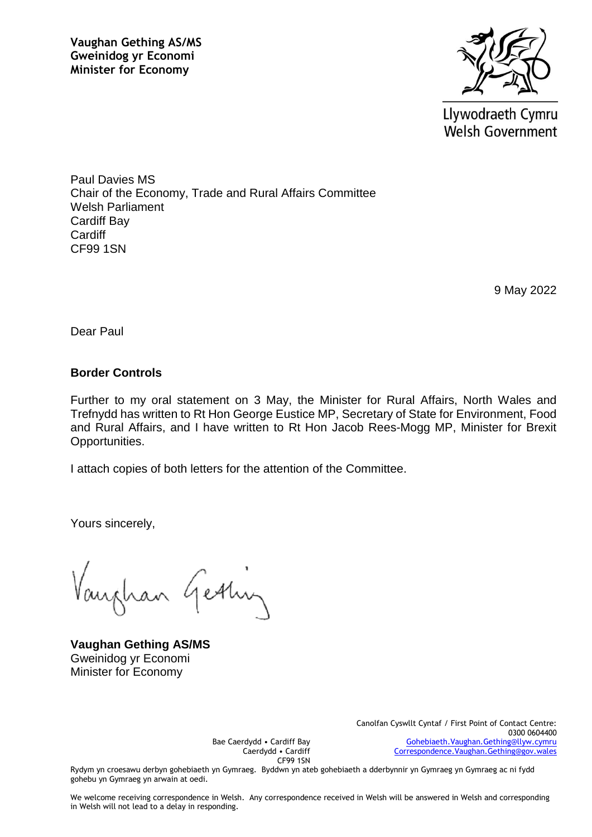

Llywodraeth Cymru **Welsh Government** 

Paul Davies MS Chair of the Economy, Trade and Rural Affairs Committee Welsh Parliament Cardiff Bay **Cardiff** CF99 1SN

9 May 2022

Dear Paul

## **Border Controls**

Further to my oral statement on 3 May, the Minister for Rural Affairs, North Wales and Trefnydd has written to Rt Hon George Eustice MP, Secretary of State for Environment, Food and Rural Affairs, and I have written to Rt Hon Jacob Rees-Mogg MP, Minister for Brexit Opportunities.

I attach copies of both letters for the attention of the Committee.

Yours sincerely,

han Getting

**Vaughan Gething AS/MS** Gweinidog yr Economi Minister for Economy

Bae Caerdydd • Cardiff Bay Caerdydd • Cardiff CF99 1SN Canolfan Cyswllt Cyntaf / First Point of Contact Centre: 0300 0604400 [Gohebiaeth.Vaughan.Gething@llyw.cymru](mailto:Gohebiaeth.Vaughan.Gething@llyw.cymru) [Correspondence.Vaughan.Gething@gov.wales](mailto:Correspondence.Vaughan.Gething@gov.wales)

Rydym yn croesawu derbyn gohebiaeth yn Gymraeg. Byddwn yn ateb gohebiaeth a dderbynnir yn Gymraeg yn Gymraeg ac ni fydd gohebu yn Gymraeg yn arwain at oedi.

We welcome receiving correspondence in Welsh. Any correspondence received in Welsh will be answered in Welsh and corresponding in Welsh will not lead to a delay in responding.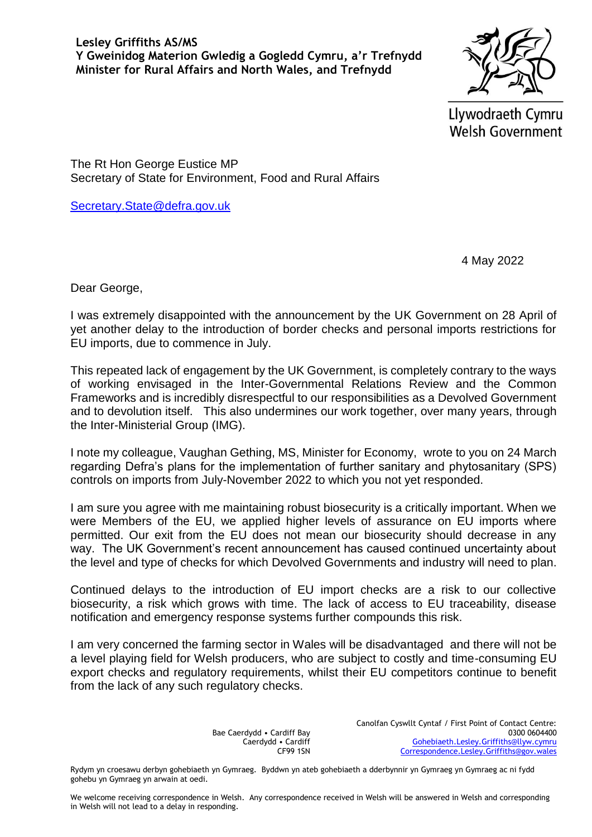Llywodraeth Cymru **Welsh Government** 

The Rt Hon George Eustice MP Secretary of State for Environment, Food and Rural Affairs

[Secretary.State@defra.gov.uk](mailto:Secretary.State@defra.gov.uk)

4 May 2022

Dear George,

I was extremely disappointed with the announcement by the UK Government on 28 April of yet another delay to the introduction of border checks and personal imports restrictions for EU imports, due to commence in July.

This repeated lack of engagement by the UK Government, is completely contrary to the ways of working envisaged in the Inter-Governmental Relations Review and the Common Frameworks and is incredibly disrespectful to our responsibilities as a Devolved Government and to devolution itself. This also undermines our work together, over many years, through the Inter-Ministerial Group (IMG).

I note my colleague, Vaughan Gething, MS, Minister for Economy, wrote to you on 24 March regarding Defra's plans for the implementation of further sanitary and phytosanitary (SPS) controls on imports from July-November 2022 to which you not yet responded.

I am sure you agree with me maintaining robust biosecurity is a critically important. When we were Members of the EU, we applied higher levels of assurance on EU imports where permitted. Our exit from the EU does not mean our biosecurity should decrease in any way. The UK Government's recent announcement has caused continued uncertainty about the level and type of checks for which Devolved Governments and industry will need to plan.

Continued delays to the introduction of EU import checks are a risk to our collective biosecurity, a risk which grows with time. The lack of access to EU traceability, disease notification and emergency response systems further compounds this risk.

I am very concerned the farming sector in Wales will be disadvantaged and there will not be a level playing field for Welsh producers, who are subject to costly and time-consuming EU export checks and regulatory requirements, whilst their EU competitors continue to benefit from the lack of any such regulatory checks.

> Bae Caerdydd • Cardiff Bay Caerdydd • Cardiff CF99 1SN

Canolfan Cyswllt Cyntaf / First Point of Contact Centre: 0300 0604400 [Gohebiaeth.Lesley.Griffiths@llyw.cymru](mailto:Gohebiaeth.Lesley.Griffiths@llyw.cymru) [Correspondence.Lesley.Griffiths@gov.wales](mailto:Correspondence.Lesley.Griffiths@gov.wales)

Rydym yn croesawu derbyn gohebiaeth yn Gymraeg. Byddwn yn ateb gohebiaeth a dderbynnir yn Gymraeg yn Gymraeg ac ni fydd gohebu yn Gymraeg yn arwain at oedi.

We welcome receiving correspondence in Welsh. Any correspondence received in Welsh will be answered in Welsh and corresponding in Welsh will not lead to a delay in responding.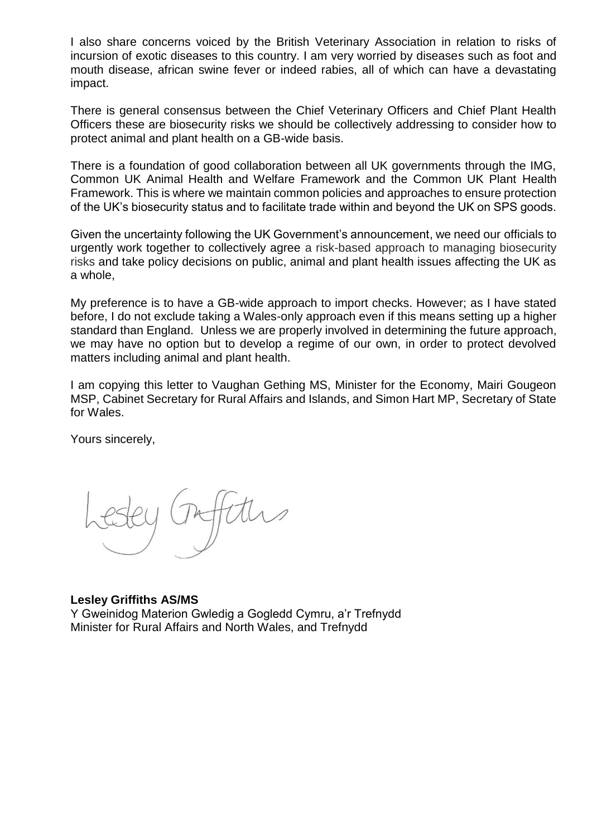I also share concerns voiced by the British Veterinary Association in relation to risks of incursion of exotic diseases to this country. I am very worried by diseases such as foot and mouth disease, african swine fever or indeed rabies, all of which can have a devastating impact.

There is general consensus between the Chief Veterinary Officers and Chief Plant Health Officers these are biosecurity risks we should be collectively addressing to consider how to protect animal and plant health on a GB-wide basis.

There is a foundation of good collaboration between all UK governments through the IMG, Common UK Animal Health and Welfare Framework and the Common UK Plant Health Framework. This is where we maintain common policies and approaches to ensure protection of the UK's biosecurity status and to facilitate trade within and beyond the UK on SPS goods.

Given the uncertainty following the UK Government's announcement, we need our officials to urgently work together to collectively agree a risk-based approach to managing biosecurity risks and take policy decisions on public, animal and plant health issues affecting the UK as a whole,

My preference is to have a GB-wide approach to import checks. However; as I have stated before, I do not exclude taking a Wales-only approach even if this means setting up a higher standard than England. Unless we are properly involved in determining the future approach, we may have no option but to develop a regime of our own, in order to protect devolved matters including animal and plant health.

I am copying this letter to Vaughan Gething MS, Minister for the Economy, Mairi Gougeon MSP, Cabinet Secretary for Rural Affairs and Islands, and Simon Hart MP, Secretary of State for Wales.

Yours sincerely,

## **Lesley Griffiths AS/MS**

Y Gweinidog Materion Gwledig a Gogledd Cymru, a'r Trefnydd Minister for Rural Affairs and North Wales, and Trefnydd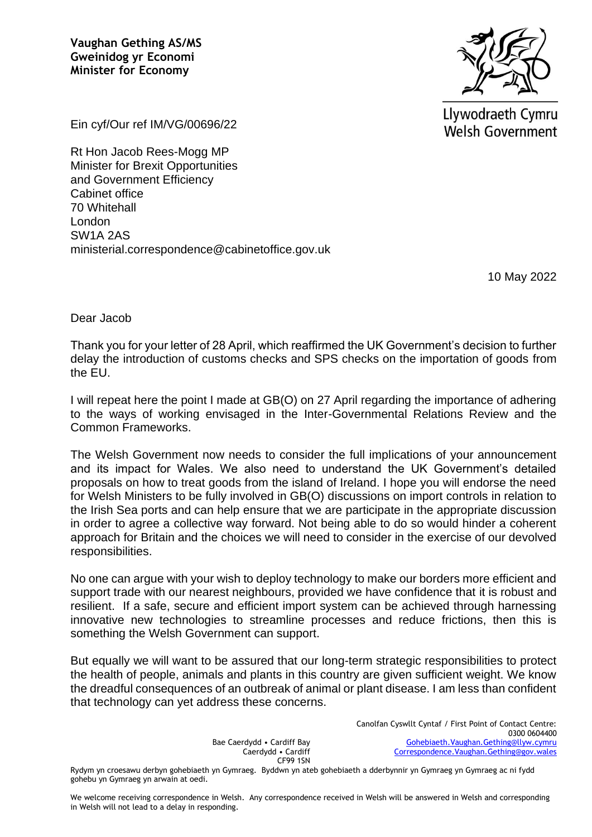

Llywodraeth Cymru **Welsh Government** 

Ein cyf/Our ref IM/VG/00696/22

Rt Hon Jacob Rees-Mogg MP Minister for Brexit Opportunities and Government Efficiency Cabinet office 70 Whitehall London SW1A 2AS ministerial.correspondence@cabinetoffice.gov.uk

10 May 2022

Dear Jacob

Thank you for your letter of 28 April, which reaffirmed the UK Government's decision to further delay the introduction of customs checks and SPS checks on the importation of goods from the EU.

I will repeat here the point I made at GB(O) on 27 April regarding the importance of adhering to the ways of working envisaged in the Inter-Governmental Relations Review and the Common Frameworks.

The Welsh Government now needs to consider the full implications of your announcement and its impact for Wales. We also need to understand the UK Government's detailed proposals on how to treat goods from the island of Ireland. I hope you will endorse the need for Welsh Ministers to be fully involved in GB(O) discussions on import controls in relation to the Irish Sea ports and can help ensure that we are participate in the appropriate discussion in order to agree a collective way forward. Not being able to do so would hinder a coherent approach for Britain and the choices we will need to consider in the exercise of our devolved responsibilities.

No one can argue with your wish to deploy technology to make our borders more efficient and support trade with our nearest neighbours, provided we have confidence that it is robust and resilient. If a safe, secure and efficient import system can be achieved through harnessing innovative new technologies to streamline processes and reduce frictions, then this is something the Welsh Government can support.

But equally we will want to be assured that our long-term strategic responsibilities to protect the health of people, animals and plants in this country are given sufficient weight. We know the dreadful consequences of an outbreak of animal or plant disease. I am less than confident that technology can yet address these concerns.

> Bae Caerdydd • Cardiff Bay Caerdydd • Cardiff CF99 1SN

Canolfan Cyswllt Cyntaf / First Point of Contact Centre: 0300 0604400 [Gohebiaeth.Vaughan.Gething@llyw.cymru](mailto:Gohebiaeth.Vaughan.Gething@llyw.cymru) [Correspondence.Vaughan.Gething@gov.wales](mailto:Correspondence.Vaughan.Gething@gov.wales)

Rydym yn croesawu derbyn gohebiaeth yn Gymraeg. Byddwn yn ateb gohebiaeth a dderbynnir yn Gymraeg yn Gymraeg ac ni fydd gohebu yn Gymraeg yn arwain at oedi.